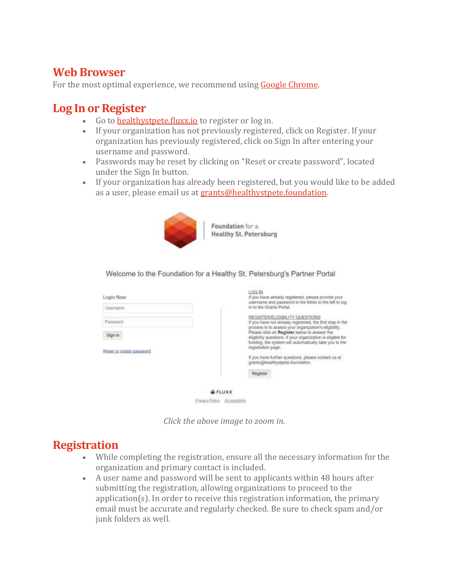### **Web Browser**

For the most optimal experience, we recommend using Google [Chrome.](https://www.google.com/chrome/)

### **Log In or Register**

- Go to **[healthystpete.fluxx.io](http://healthystpete.fluxx.io/)** to register or log in.
- If your organization has not previously registered, click on Register. If your organization has previously registered, click on Sign In after entering your username and password.
- Passwords may be reset by clicking on "Reset or create password", located under the Sign In button.
- If your organization has already been registered, but you would like to be added as a user, please email us at [grants@healthystpete.foundation.](mailto:grants@healthystpete.foundation)



Foundation for a **Healthy St. Petersburg** 

Welcome to the Foundation for a Healthy St. Petersburg's Partner Portal

| Login Now:               | LOG IN<br>If you have already registered, please provide your.                                                                                                        |
|--------------------------|-----------------------------------------------------------------------------------------------------------------------------------------------------------------------|
| Username                 | username and password in the fields to the left to log<br>in to the Grants Portal.                                                                                    |
| Password                 | REGISTER/ELIGIBILITY QUESTIONS<br>If you have not already registered, the first step in the<br>process is to assess your organization's eligibility.                  |
| Sign in                  | Please click on Register below to answer the<br>eligibility questions. If your organization is eligible for<br>funding, the system will automatically take you to the |
| Reset or create password | registration page.<br>If you have further questions, please contact us at                                                                                             |
|                          | grants@healthystpete.foundation.                                                                                                                                      |
|                          | Register                                                                                                                                                              |
|                          |                                                                                                                                                                       |
|                          | FLUXX                                                                                                                                                                 |
|                          | Privacy Policy Accessibility                                                                                                                                          |

*Click the above image to zoom in.*

### **Registration**

- While completing the registration, ensure all the necessary information for the organization and primary contact is included.
- A user name and password will be sent to applicants within 48 hours after submitting the registration, allowing organizations to proceed to the application(s). In order to receive this registration information, the primary email must be accurate and regularly checked. Be sure to check spam and/or junk folders as well.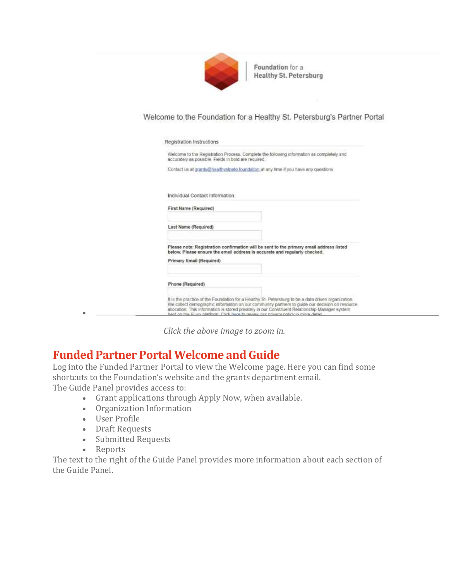

Foundation for a **Healthy St. Petersburg** 

### Welcome to the Foundation for a Healthy St. Petersburg's Partner Portal

| Welcome to the Registration Process. Complete the following information as completely and<br>accurately as possible. Fields in bold are required.                                                                                                                                                         |
|-----------------------------------------------------------------------------------------------------------------------------------------------------------------------------------------------------------------------------------------------------------------------------------------------------------|
| Contact us at grants@healthystoete.foundation at any time if you have any questions.                                                                                                                                                                                                                      |
| Individual Contact Information                                                                                                                                                                                                                                                                            |
| First Name (Required)                                                                                                                                                                                                                                                                                     |
| Last Name (Regulred)                                                                                                                                                                                                                                                                                      |
| Please note: Registration confirmation will be sent to the primary email address listed<br>below. Please ensure the email address is accurate and regularly checked.                                                                                                                                      |
| Primary Email (Required)                                                                                                                                                                                                                                                                                  |
| Phone (Required)                                                                                                                                                                                                                                                                                          |
| It is the practice of the Foundation for a Healthy St. Petersburg to be a data driven organization.<br>We collect demographic information on our community partners to quide our decision on resource<br>allocation. This information is stored privately in our Constituent Relationship Manager system. |

*Click the above image to zoom in.*

### **Funded Partner Portal Welcome and Guide**

Log into the Funded Partner Portal to view the Welcome page. Here you can find some shortcuts to the Foundation's website and the grants department email. The Guide Panel provides access to:

- Grant applications through Apply Now, when available.
- Organization Information
- User Profile
- Draft Requests
- Submitted Requests
- Reports

•

The text to the right of the Guide Panel provides more information about each section of the Guide Panel.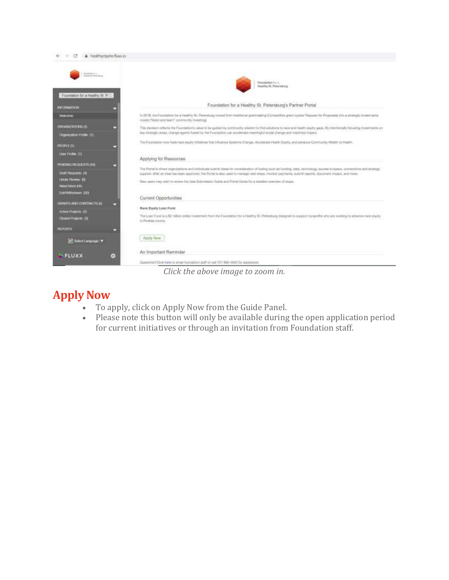

*Click the above image to zoom in.*

## **Apply Now**

- To apply, click on Apply Now from the Guide Panel.
- Please note this button will only be available during the open application period for current initiatives or through an invitation from Foundation staff.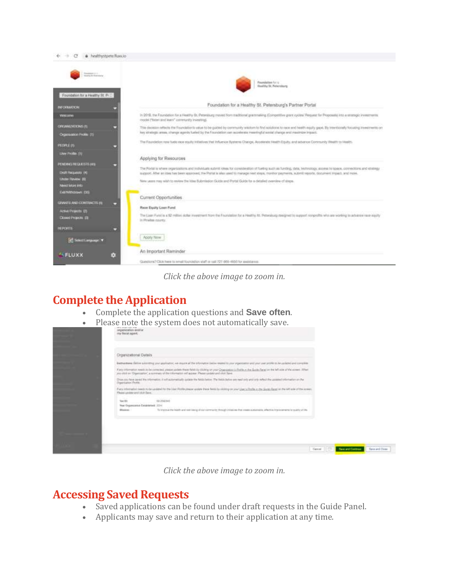

*Click the above image to zoom in.*

### **Complete the Application**

- Complete the application questions and **Save often**.
- Please note the system does not automatically save.

| Crganizational Details                         |                                                                                                                                                                                                                                                         |  |  |
|------------------------------------------------|---------------------------------------------------------------------------------------------------------------------------------------------------------------------------------------------------------------------------------------------------------|--|--|
|                                                | Bethaltene Selve a knowing you assistance, we make all the of ovators believ mated to your processors and your search the analysed and songain                                                                                                          |  |  |
|                                                | Kery Aformator Health to be controlled, please update there fields by USARg by your Chaptership of the Suite of the Suite Partei for the left side of Muslimers 30 and 10<br>position Ogenstel, a sense of heritonister of asset Pleasurabe ed its Spe. |  |  |
| Drammarken Florido.                            | the figure of Figure 2 is the country for the<br>Drug pay have payed the information of will actomatically goden the NASA Selow. The Water debt was read only and only with our select the company on the                                               |  |  |
| Fluenciation and cital fluen-                  | Para internation needs to be qualified for the claim Perito preservanties these feels for miditing on your Uper's Perife in the Suite Papel on the left with of the appear.                                                                             |  |  |
| Your CEY<br>Non-Organizione Escalianisti: 2014 | season.                                                                                                                                                                                                                                                 |  |  |
| <b>Disease:</b>                                | To transit the heath and well length and community through inhabited that create automative, which we injuries with the painting of the                                                                                                                 |  |  |
|                                                |                                                                                                                                                                                                                                                         |  |  |
|                                                |                                                                                                                                                                                                                                                         |  |  |
|                                                |                                                                                                                                                                                                                                                         |  |  |

*Click the above image to zoom in.*

### **Accessing Saved Requests**

- Saved applications can be found under draft requests in the Guide Panel.
- Applicants may save and return to their application at any time.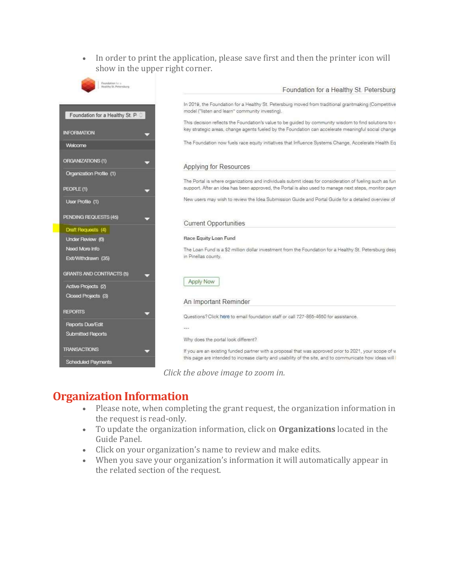• In order to print the application, please save first and then the printer icon will show in the upper right corner.



### **Organization Information**

- Please note, when completing the grant request, the organization information in the request is read-only.
- To update the organization information, click on **Organizations** located in the Guide Panel.
- Click on your organization's name to review and make edits.
- When you save your organization's information it will automatically appear in the related section of the request.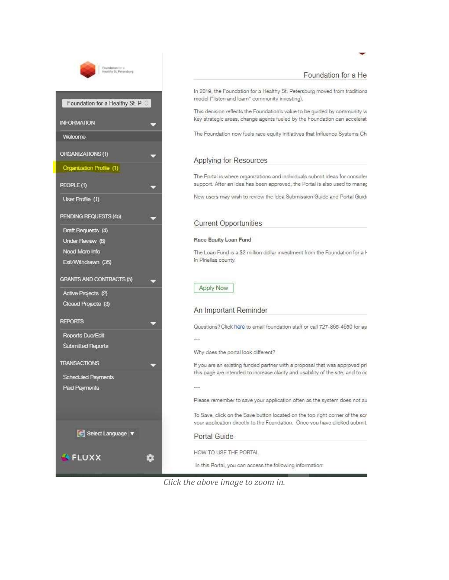

### Foundation for a He

In 2019, the Foundation for a Healthy St. Petersburg moved from traditional model ("listen and learn" community investing).

This decision reflects the Foundation's value to be guided by community w key strategic areas, change agents fueled by the Foundation can accelerat

The Foundation now fuels race equity initiatives that Influence Systems Chi

### Applying for Resources

The Portal is where organizations and individuals submit ideas for consider support. After an idea has been approved, the Portal is also used to manag

New users may wish to review the Idea Submission Guide and Portal Guide

#### **Current Opportunities**

#### Race Equity Loan Fund

The Loan Fund is a \$2 million dollar investment from the Foundation for a H in Pinellas county.

#### **Apply Now**

#### An Important Reminder

Questions? Click here to email foundation staff or call 727-865-4650 for as

88

Why does the portal look different?

If you are an existing funded partner with a proposal that was approved prithis page are intended to increase clarity and usability of the site, and to co

Please remember to save your application often as the system does not au

To Save, click on the Save button located on the top right corner of the scr your application directly to the Foundation. Once you have clicked submit,

#### Portal Guide

HOW TO USE THE PORTAL

In this Portal, you can access the following information:

*Click the above image to zoom in.*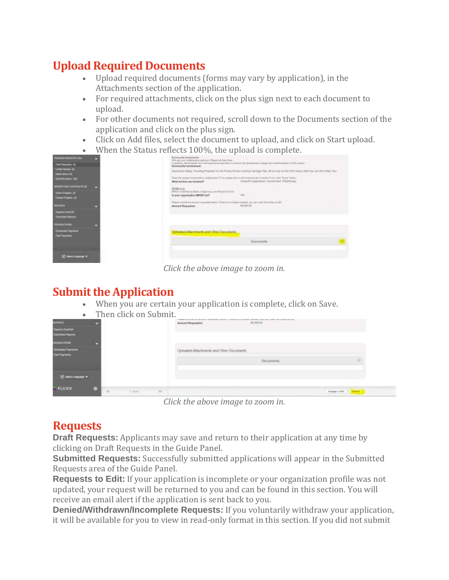# **Upload Required Documents**

- Upload required documents (forms may vary by application), in the Attachments section of the application.
- For required attachments, click on the plus sign next to each document to upload.
- For other documents not required, scroll down to the Documents section of the application and click on the plus sign.
- Click on Add files, select the document to upload, and click on Start upload.
- When the Status reflects 100%, the upload is complete.

| Has mandound time.                                                                                                | <b>Dominariely Institutement</b><br>Mix are used later limited to bathrood Filmera hid March New-                                                                                                                                                                               |                                                                                                                                                                                                                                                                                                                                                                  |
|-------------------------------------------------------------------------------------------------------------------|---------------------------------------------------------------------------------------------------------------------------------------------------------------------------------------------------------------------------------------------------------------------------------|------------------------------------------------------------------------------------------------------------------------------------------------------------------------------------------------------------------------------------------------------------------------------------------------------------------------------------------------------------------|
| Dell Flora selvi 141<br><b><i><u>The Company's</u></i></b><br><b>I bed threater</b><br><b>THE PROVIDENCE CREE</b> | In addition, demonstrate has the dependence has been moderated by the demonstrated, design and implementation of Macanismi.<br>Committee involvement:<br>Unactive project recognizes a collaborate IT that, www.a left at which archive also student if you could "Nova" below. | Georgian Papes, Payming Pressure to the Pains Atlant American Energy Tod, will be look for the CPE Hates; Wat That and the Town Tool                                                                                                                                                                                                                             |
| <b>MEMARIE AND CONTINUES IN</b><br>Active Projects 221<br><b>Charl Proces (E)</b>                                 | What socions are inveitoral?<br><b>BRODLAN</b><br>INTOC's stellwell as Black 3 shippened, and Faracts of Color.<br>In your crowstation BIFOC sight                                                                                                                              | Ningvill Diplomaton Developed, Philathraps<br>in the company's company's the company's company's company's company's company's<br>provided the company of the company of the company of the company of the company of the company of the company of the company of the company of the company of the company of the company of the company of the company of the |
| <b>INFARCO</b><br><b>Tecnic Day Em</b><br>Submitted Reports                                                       | Please statute the woman requirement before of them is no statute necessary can our start the dollars as \$1.<br><b>Anisot Requested:</b>                                                                                                                                       | 80,000.08                                                                                                                                                                                                                                                                                                                                                        |
| <b>MARKETING</b>                                                                                                  |                                                                                                                                                                                                                                                                                 |                                                                                                                                                                                                                                                                                                                                                                  |
| <b>Simulaci Foynette</b><br><b>THAT PROPERTY</b>                                                                  | <b>Upinaded Altertation and Other Discursation</b>                                                                                                                                                                                                                              | Documents.                                                                                                                                                                                                                                                                                                                                                       |
| <b>Audit Avenue V</b>                                                                                             |                                                                                                                                                                                                                                                                                 |                                                                                                                                                                                                                                                                                                                                                                  |

*Click the above image to zoom in.*

## **Submit the Application**

• When you are certain your application is complete, click on Save.

| $\bullet$                        | Then click on Submit.                |                                                                                                                                                                                                                                                                                                        |  |
|----------------------------------|--------------------------------------|--------------------------------------------------------------------------------------------------------------------------------------------------------------------------------------------------------------------------------------------------------------------------------------------------------|--|
| <b>COURTS!</b>                   |                                      | de province en la companya de la companya de la companya de la companya de la companya de la companya de la companya de la companya de la companya de la companya de la companya de la companya de la companya de la companya<br>Arnault Regarded<br>of the all property and the<br><b>STEEL STATE</b> |  |
| Herry Date:<br>Submitted Records |                                      |                                                                                                                                                                                                                                                                                                        |  |
| <b>DANSACTIONS</b>               |                                      |                                                                                                                                                                                                                                                                                                        |  |
| <b>FINISHED FINANCIS</b>         |                                      | Joloakid Atlachments and Other Documents<br>and the state of the state of the state of the state of the state of the state of the state of the state of the                                                                                                                                            |  |
| <b>PAGE FRUSTABLE</b>            |                                      | Documents                                                                                                                                                                                                                                                                                              |  |
|                                  |                                      |                                                                                                                                                                                                                                                                                                        |  |
| <b>FLUXX</b>                     |                                      |                                                                                                                                                                                                                                                                                                        |  |
|                                  | $\rightarrow$<br>$1 - 4 + 4 + 1$<br> | <b>Brungs + Sall 11 Suzune</b>                                                                                                                                                                                                                                                                         |  |

*Click the above image to zoom in.*

# **Requests**

**Draft Requests:** Applicants may save and return to their application at any time by clicking on Draft Requests in the Guide Panel.

**Submitted Requests:** Successfully submitted applications will appear in the Submitted Requests area of the Guide Panel.

**Requests to Edit:** If your application is incomplete or your organization profile was not updated, your request will be returned to you and can be found in this section. You will receive an email alert if the application is sent back to you.

**Denied/Withdrawn/Incomplete Requests:** If you voluntarily withdraw your application, it will be available for you to view in read-only format in this section. If you did not submit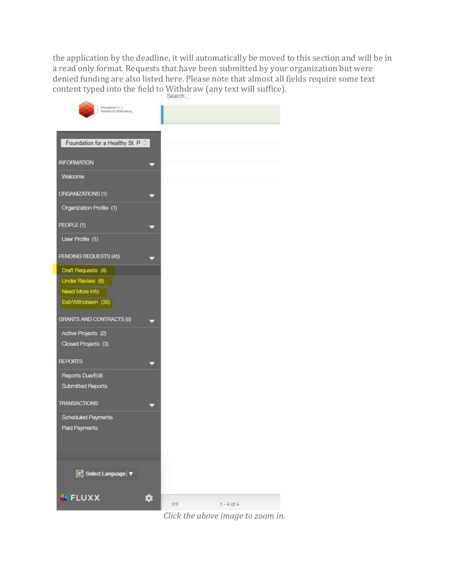the application by the deadline, it will automatically be moved to this section and will be in a read only format. Requests that have been submitted by your organization but were denied funding are also listed here. Please note that almost all fields require some text content typed into the field to Withdraw (any text will suffice).



*Click the above image to zoom in.*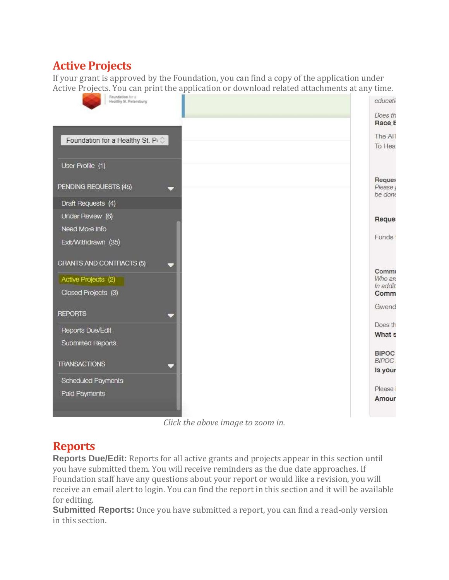## **Active Projects**

If your grant is approved by the Foundation, you can find a copy of the application under Active Projects. You can print the application or download related attachments at any time.



*Click the above image to zoom in.*

## **Reports**

**Reports Due/Edit:** Reports for all active grants and projects appear in this section until you have submitted them. You will receive reminders as the due date approaches. If Foundation staff have any questions about your report or would like a revision, you will receive an email alert to login. You can find the report in this section and it will be available for editing.

**Submitted Reports:** Once you have submitted a report, you can find a read-only version in this section.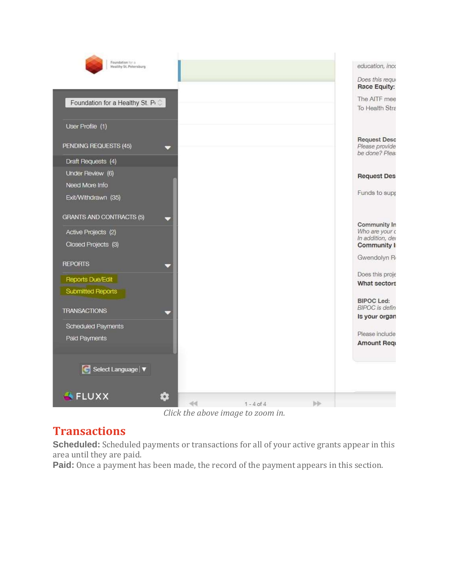| Foundation for a<br>Healthy St. Petersburg     |    |                |     | education, inco                            |
|------------------------------------------------|----|----------------|-----|--------------------------------------------|
|                                                |    |                |     | Does this requi                            |
|                                                |    |                |     | Race Equity:                               |
| Foundation for a Healthy St. Pi $\circledcirc$ |    |                |     | The AITF mee                               |
|                                                |    |                |     | To Health Stra                             |
| User Profile (1)                               |    |                |     |                                            |
|                                                |    |                |     | <b>Request Desc</b>                        |
| PENDING REQUESTS (45)                          |    |                |     | Please provide                             |
| Draft Requests (4)                             |    |                |     | be done? Plea:                             |
| Under Review (6)                               |    |                |     |                                            |
| Need More Info                                 |    |                |     | <b>Request Des</b>                         |
|                                                |    |                |     | Funds to supp                              |
| Exit/Withdrawn (35)                            |    |                |     |                                            |
| <b>GRANTS AND CONTRACTS (5)</b>                |    |                |     |                                            |
|                                                |    |                |     | Community In                               |
| Active Projects (2)                            |    |                |     | Who are your c<br>In addition, der         |
| Closed Projects (3)                            |    |                |     | <b>Community I</b>                         |
|                                                |    |                |     | Gwendolyn R                                |
| <b>REPORTS</b>                                 |    |                |     | Does this proje                            |
| Reports Due/Edit                               |    |                |     | What sectors                               |
| Submitted Reports                              |    |                |     |                                            |
|                                                |    |                |     | <b>BIPOC Led:</b><br><b>BIPOC</b> is defin |
| <b>TRANSACTIONS</b>                            |    |                |     | Is your organ                              |
| Scheduled Payments                             |    |                |     |                                            |
| Paid Payments                                  |    |                |     | Please include                             |
|                                                |    |                |     | <b>Amount Requ</b>                         |
|                                                |    |                |     |                                            |
| Select Language   $\blacktriangledown$         |    |                |     |                                            |
|                                                |    |                |     |                                            |
| FLUXX                                          |    |                |     |                                            |
|                                                | di | $1 - 4$ of $4$ | bb- |                                            |

*Click the above image to zoom in.*

## **Transactions**

**Scheduled:** Scheduled payments or transactions for all of your active grants appear in this area until they are paid.

**Paid:** Once a payment has been made, the record of the payment appears in this section.